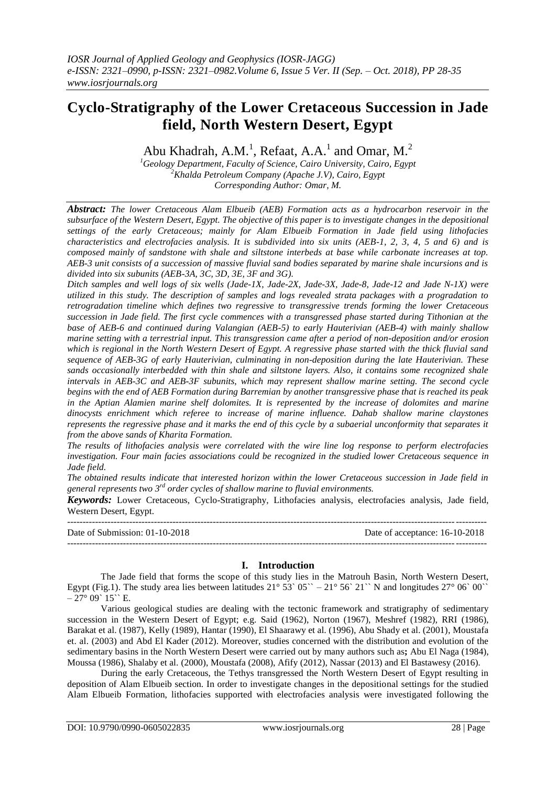Abu Khadrah, A.M.<sup>1</sup>, Refaat, A.A.<sup>1</sup> and Omar, M.<sup>2</sup>

*<sup>1</sup>Geology Department, Faculty of Science, Cairo University, Cairo, Egypt <sup>2</sup>Khalda Petroleum Company (Apache J.V), Cairo, Egypt Corresponding Author: Omar, M.*

*Abstract: The lower Cretaceous Alam Elbueib (AEB) Formation acts as a hydrocarbon reservoir in the subsurface of the Western Desert, Egypt. The objective of this paper is to investigate changes in the depositional settings of the early Cretaceous; mainly for Alam Elbueib Formation in Jade field using lithofacies characteristics and electrofacies analysis. It is subdivided into six units (AEB-1, 2, 3, 4, 5 and 6) and is composed mainly of sandstone with shale and siltstone interbeds at base while carbonate increases at top. AEB-3 unit consists of a succession of massive fluvial sand bodies separated by marine shale incursions and is divided into six subunits (AEB-3A, 3C, 3D, 3E, 3F and 3G).*

*Ditch samples and well logs of six wells (Jade-1X, Jade-2X, Jade-3X, Jade-8, Jade-12 and Jade N-1X) were utilized in this study. The description of samples and logs revealed strata packages with a progradation to retrogradation timeline which defines two regressive to transgressive trends forming the lower Cretaceous succession in Jade field. The first cycle commences with a transgressed phase started during Tithonian at the base of AEB-6 and continued during Valangian (AEB-5) to early Hauterivian (AEB-4) with mainly shallow marine setting with a terrestrial input. This transgression came after a period of non-deposition and/or erosion which is regional in the North Western Desert of Egypt. A regressive phase started with the thick fluvial sand sequence of AEB-3G of early Hauterivian, culminating in non-deposition during the late Hauterivian. These sands occasionally interbedded with thin shale and siltstone layers. Also, it contains some recognized shale intervals in AEB-3C and AEB-3F subunits, which may represent shallow marine setting. The second cycle begins with the end of AEB Formation during Barremian by another transgressive phase that is reached its peak in the Aptian Alamien marine shelf dolomites. It is represented by the increase of dolomites and marine dinocysts enrichment which referee to increase of marine influence. Dahab shallow marine claystones represents the regressive phase and it marks the end of this cycle by a subaerial unconformity that separates it from the above sands of Kharita Formation.*

*The results of lithofacies analysis were correlated with the wire line log response to perform electrofacies investigation. Four main facies associations could be recognized in the studied lower Cretaceous sequence in Jade field.*

*The obtained results indicate that interested horizon within the lower Cretaceous succession in Jade field in general represents two 3rd order cycles of shallow marine to fluvial environments.*

*Keywords:* Lower Cretaceous, Cyclo-Stratigraphy, Lithofacies analysis, electrofacies analysis, Jade field, Western Desert, Egypt.

--------------------------------------------------------------------------------------------------------------------------------------- Date of Submission: 01-10-2018 Date of acceptance: 16-10-2018 --------------------------------------------------------------------------------------------------------------------------------------*-*

# **I. Introduction**

The Jade field that forms the scope of this study lies in the Matrouh Basin, North Western Desert, Egypt (Fig.1). The study area lies between latitudes  $21^{\circ}$  53` 05`` –  $21^{\circ}$  56` 21`` N and longitudes  $27^{\circ}$  06` 00``  $-27^{\circ}$  09` 15`` E.

Various geological studies are dealing with the tectonic framework and stratigraphy of sedimentary succession in the Western Desert of Egypt; e.g. Said (1962), Norton (1967), Meshref (1982), RRI (1986), Barakat et al. (1987), Kelly (1989), Hantar (1990), El Shaarawy et al. (1996), Abu Shady et al. (2001), Moustafa et. al. (2003) and Abd El Kader (2012). Moreover, studies concerned with the distribution and evolution of the sedimentary basins in the North Western Desert were carried out by many authors such as**;** Abu El Naga (1984), Moussa (1986), Shalaby et al. (2000), Moustafa (2008), Afify (2012), Nassar (2013) and El Bastawesy (2016).

During the early Cretaceous, the Tethys transgressed the North Western Desert of Egypt resulting in deposition of Alam Elbueib section. In order to investigate changes in the depositional settings for the studied Alam Elbueib Formation, lithofacies supported with electrofacies analysis were investigated following the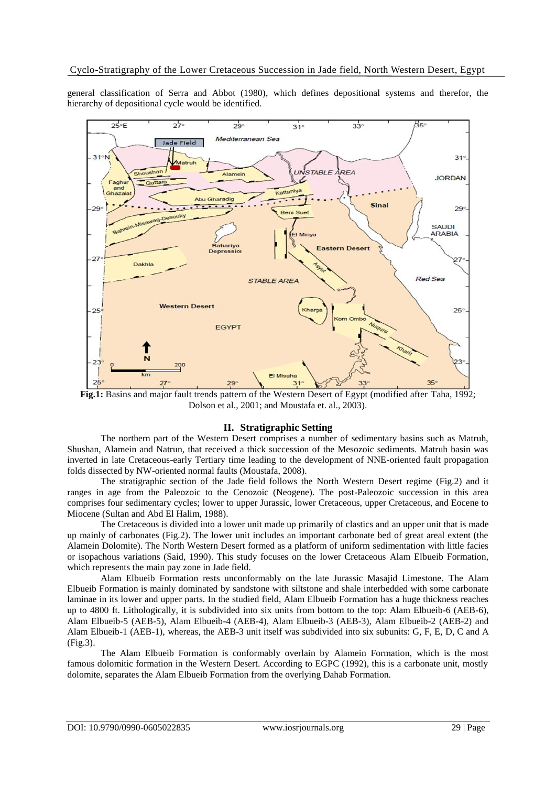general classification of Serra and Abbot (1980), which defines depositional systems and therefor, the hierarchy of depositional cycle would be identified.



**Fig.1:** Basins and major fault trends pattern of the Western Desert of Egypt (modified after Taha, 1992; Dolson et al., 2001; and Moustafa et. al., 2003).

# **II. Stratigraphic Setting**

The northern part of the Western Desert comprises a number of sedimentary basins such as Matruh, Shushan, Alamein and Natrun, that received a thick succession of the Mesozoic sediments. Matruh basin was inverted in late Cretaceous-early Tertiary time leading to the development of NNE-oriented fault propagation folds dissected by NW-oriented normal faults (Moustafa, 2008).

The stratigraphic section of the Jade field follows the North Western Desert regime (Fig.2) and it ranges in age from the Paleozoic to the Cenozoic (Neogene). The post-Paleozoic succession in this area comprises four sedimentary cycles; lower to upper Jurassic, lower Cretaceous, upper Cretaceous, and Eocene to Miocene (Sultan and Abd El Halim, 1988).

The Cretaceous is divided into a lower unit made up primarily of clastics and an upper unit that is made up mainly of carbonates (Fig.2). The lower unit includes an important carbonate bed of great areal extent (the Alamein Dolomite). The North Western Desert formed as a platform of uniform sedimentation with little facies or isopachous variations (Said, 1990). This study focuses on the lower Cretaceous Alam Elbueib Formation, which represents the main pay zone in Jade field.

Alam Elbueib Formation rests unconformably on the late Jurassic Masajid Limestone. The Alam Elbueib Formation is mainly dominated by sandstone with siltstone and shale interbedded with some carbonate laminae in its lower and upper parts. In the studied field, Alam Elbueib Formation has a huge thickness reaches up to 4800 ft. Lithologically, it is subdivided into six units from bottom to the top: Alam Elbueib-6 (AEB-6), Alam Elbueib-5 (AEB-5), Alam Elbueib-4 (AEB-4), Alam Elbueib-3 (AEB-3), Alam Elbueib-2 (AEB-2) and Alam Elbueib-1 (AEB-1), whereas, the AEB-3 unit itself was subdivided into six subunits: G, F, E, D, C and A (Fig.3).

The Alam Elbueib Formation is conformably overlain by Alamein Formation, which is the most famous dolomitic formation in the Western Desert. According to EGPC (1992), this is a carbonate unit, mostly dolomite, separates the Alam Elbueib Formation from the overlying Dahab Formation.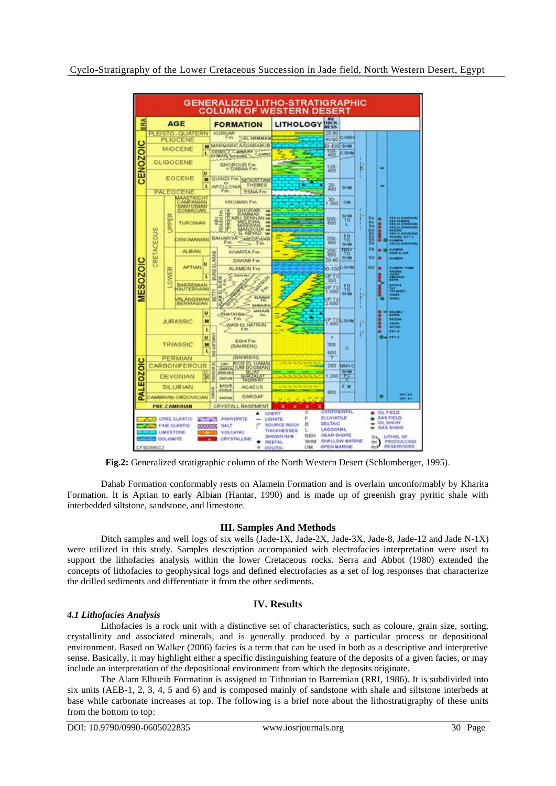

**Fig.2:** Generalized stratigraphic column of the North Western Desert (Schlumberger, 1995).

Dahab Formation conformably rests on Alamein Formation and is overlain unconformably by Kharita Formation. It is Aptian to early Albian (Hantar, 1990) and is made up of greenish gray pyritic shale with interbedded siltstone, sandstone, and limestone.

# **III. Samples And Methods**

Ditch samples and well logs of six wells (Jade-1X, Jade-2X, Jade-3X, Jade-8, Jade-12 and Jade N-1X) were utilized in this study. Samples description accompanied with electrofacies interpretation were used to support the lithofacies analysis within the lower Cretaceous rocks. Serra and Abbot (1980) extended the concepts of lithofacies to geophysical logs and defined electrofacies as a set of log responses that characterize the drilled sediments and differentiate it from the other sediments.

# **IV. Results**

# *4.1 Lithofacies Analysis*

Lithofacies is a rock unit with a distinctive set of characteristics, such as coloure, grain size, sorting, crystallinity and associated minerals, and is generally produced by a particular process or depositional environment. Based on Walker (2006) facies is a term that can be used in both as a descriptive and interpretive sense. Basically, it may highlight either a specific distinguishing feature of the deposits of a given facies, or may include an interpretation of the depositional environment from which the deposits originate.

The Alam Elbueib Formation is assigned to Tithonian to Barremian (RRI, 1986). It is subdivided into six units (AEB-1, 2, 3, 4, 5 and 6) and is composed mainly of sandstone with shale and siltstone interbeds at base while carbonate increases at top. The following is a brief note about the lithostratigraphy of these units from the bottom to top: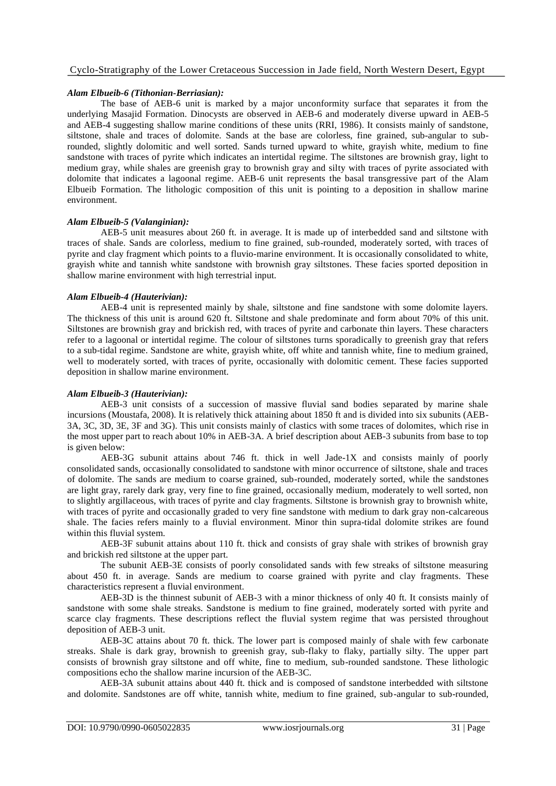## *Alam Elbueib-6 (Tithonian-Berriasian):*

The base of AEB-6 unit is marked by a major unconformity surface that separates it from the underlying Masajid Formation. Dinocysts are observed in AEB-6 and moderately diverse upward in AEB-5 and AEB-4 suggesting shallow marine conditions of these units (RRI, 1986). It consists mainly of sandstone, siltstone, shale and traces of dolomite. Sands at the base are colorless, fine grained, sub-angular to subrounded, slightly dolomitic and well sorted. Sands turned upward to white, grayish white, medium to fine sandstone with traces of pyrite which indicates an intertidal regime. The siltstones are brownish gray, light to medium gray, while shales are greenish gray to brownish gray and silty with traces of pyrite associated with dolomite that indicates a lagoonal regime. AEB-6 unit represents the basal transgressive part of the Alam Elbueib Formation. The lithologic composition of this unit is pointing to a deposition in shallow marine environment.

#### *Alam Elbueib-5 (Valanginian):*

AEB-5 unit measures about 260 ft. in average. It is made up of interbedded sand and siltstone with traces of shale. Sands are colorless, medium to fine grained, sub-rounded, moderately sorted, with traces of pyrite and clay fragment which points to a fluvio-marine environment. It is occasionally consolidated to white, grayish white and tannish white sandstone with brownish gray siltstones. These facies sported deposition in shallow marine environment with high terrestrial input.

# *Alam Elbueib-4 (Hauterivian):*

AEB-4 unit is represented mainly by shale, siltstone and fine sandstone with some dolomite layers. The thickness of this unit is around 620 ft. Siltstone and shale predominate and form about 70% of this unit. Siltstones are brownish gray and brickish red, with traces of pyrite and carbonate thin layers. These characters refer to a lagoonal or intertidal regime. The colour of siltstones turns sporadically to greenish gray that refers to a sub-tidal regime. Sandstone are white, grayish white, off white and tannish white, fine to medium grained, well to moderately sorted, with traces of pyrite, occasionally with dolomitic cement. These facies supported deposition in shallow marine environment.

# *Alam Elbueib-3 (Hauterivian):*

AEB-3 unit consists of a succession of massive fluvial sand bodies separated by marine shale incursions (Moustafa, 2008). It is relatively thick attaining about 1850 ft and is divided into six subunits (AEB-3A, 3C, 3D, 3E, 3F and 3G). This unit consists mainly of clastics with some traces of dolomites, which rise in the most upper part to reach about 10% in AEB-3A. A brief description about AEB-3 subunits from base to top is given below:

AEB-3G subunit attains about 746 ft. thick in well Jade-1X and consists mainly of poorly consolidated sands, occasionally consolidated to sandstone with minor occurrence of siltstone, shale and traces of dolomite. The sands are medium to coarse grained, sub-rounded, moderately sorted, while the sandstones are light gray, rarely dark gray, very fine to fine grained, occasionally medium, moderately to well sorted, non to slightly argillaceous, with traces of pyrite and clay fragments. Siltstone is brownish gray to brownish white, with traces of pyrite and occasionally graded to very fine sandstone with medium to dark gray non-calcareous shale. The facies refers mainly to a fluvial environment. Minor thin supra-tidal dolomite strikes are found within this fluvial system.

AEB-3F subunit attains about 110 ft. thick and consists of gray shale with strikes of brownish gray and brickish red siltstone at the upper part.

The subunit AEB-3E consists of poorly consolidated sands with few streaks of siltstone measuring about 450 ft. in average. Sands are medium to coarse grained with pyrite and clay fragments. These characteristics represent a fluvial environment.

AEB-3D is the thinnest subunit of AEB-3 with a minor thickness of only 40 ft. It consists mainly of sandstone with some shale streaks. Sandstone is medium to fine grained, moderately sorted with pyrite and scarce clay fragments. These descriptions reflect the fluvial system regime that was persisted throughout deposition of AEB-3 unit.

AEB-3C attains about 70 ft. thick. The lower part is composed mainly of shale with few carbonate streaks. Shale is dark gray, brownish to greenish gray, sub-flaky to flaky, partially silty. The upper part consists of brownish gray siltstone and off white, fine to medium, sub-rounded sandstone. These lithologic compositions echo the shallow marine incursion of the AEB-3C.

AEB-3A subunit attains about 440 ft. thick and is composed of sandstone interbedded with siltstone and dolomite. Sandstones are off white, tannish white, medium to fine grained, sub-angular to sub-rounded,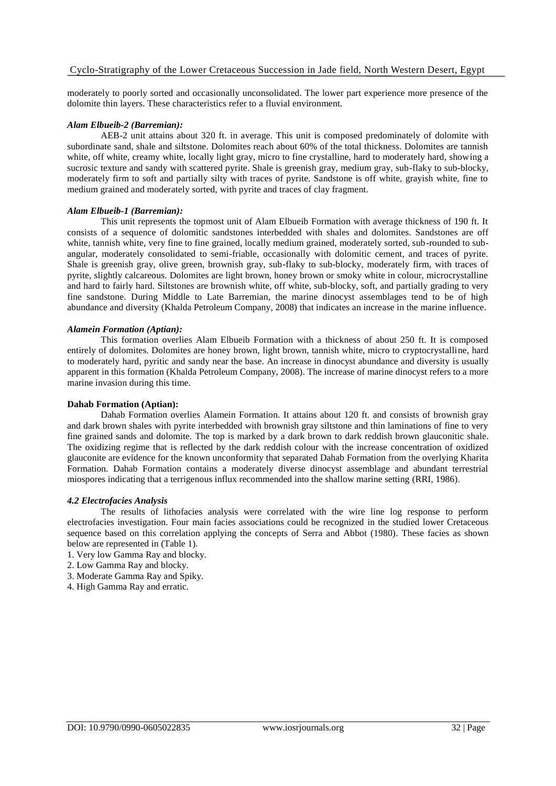moderately to poorly sorted and occasionally unconsolidated. The lower part experience more presence of the dolomite thin layers. These characteristics refer to a fluvial environment.

# *Alam Elbueib-2 (Barremian):*

AEB-2 unit attains about 320 ft. in average. This unit is composed predominately of dolomite with subordinate sand, shale and siltstone. Dolomites reach about 60% of the total thickness. Dolomites are tannish white, off white, creamy white, locally light gray, micro to fine crystalline, hard to moderately hard, showing a sucrosic texture and sandy with scattered pyrite. Shale is greenish gray, medium gray, sub-flaky to sub-blocky, moderately firm to soft and partially silty with traces of pyrite. Sandstone is off white, grayish white, fine to medium grained and moderately sorted, with pyrite and traces of clay fragment.

# *Alam Elbueib-1 (Barremian):*

This unit represents the topmost unit of Alam Elbueib Formation with average thickness of 190 ft. It consists of a sequence of dolomitic sandstones interbedded with shales and dolomites. Sandstones are off white, tannish white, very fine to fine grained, locally medium grained, moderately sorted, sub-rounded to subangular, moderately consolidated to semi-friable, occasionally with dolomitic cement, and traces of pyrite. Shale is greenish gray, olive green, brownish gray, sub-flaky to sub-blocky, moderately firm, with traces of pyrite, slightly calcareous. Dolomites are light brown, honey brown or smoky white in colour, microcrystalline and hard to fairly hard. Siltstones are brownish white, off white, sub-blocky, soft, and partially grading to very fine sandstone. During Middle to Late Barremian, the marine dinocyst assemblages tend to be of high abundance and diversity (Khalda Petroleum Company, 2008) that indicates an increase in the marine influence.

#### *Alamein Formation (Aptian):*

This formation overlies Alam Elbueib Formation with a thickness of about 250 ft. It is composed entirely of dolomites. Dolomites are honey brown, light brown, tannish white, micro to cryptocrystalline, hard to moderately hard, pyritic and sandy near the base. An increase in dinocyst abundance and diversity is usually apparent in this formation (Khalda Petroleum Company, 2008). The increase of marine dinocyst refers to a more marine invasion during this time.

## **Dahab Formation (Aptian):**

Dahab Formation overlies Alamein Formation. It attains about 120 ft. and consists of brownish gray and dark brown shales with pyrite interbedded with brownish gray siltstone and thin laminations of fine to very fine grained sands and dolomite. The top is marked by a dark brown to dark reddish brown glauconitic shale. The oxidizing regime that is reflected by the dark reddish colour with the increase concentration of oxidized glauconite are evidence for the known unconformity that separated Dahab Formation from the overlying Kharita Formation. Dahab Formation contains a moderately diverse dinocyst assemblage and abundant terrestrial miospores indicating that a terrigenous influx recommended into the shallow marine setting (RRI, 1986).

#### *4.2 Electrofacies Analysis*

The results of lithofacies analysis were correlated with the wire line log response to perform electrofacies investigation. Four main facies associations could be recognized in the studied lower Cretaceous sequence based on this correlation applying the concepts of Serra and Abbot (1980). These facies as shown below are represented in (Table 1).

- 1. Very low Gamma Ray and blocky.
- 2. Low Gamma Ray and blocky.
- 3. Moderate Gamma Ray and Spiky.
- 4. High Gamma Ray and erratic.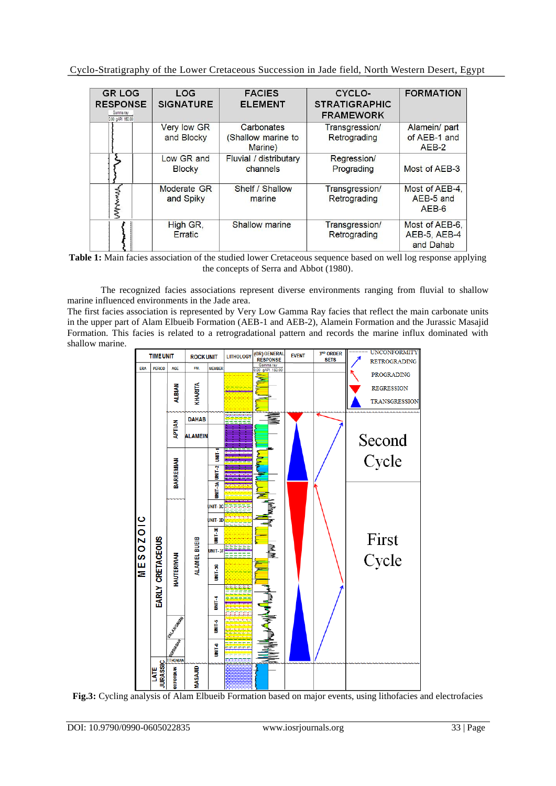Cyclo-Stratigraphy of the Lower Cretaceous Succession in Jade field, North Western Desert, Egypt

| <b>GR LOG</b><br><b>RESPONSE</b><br>Gamma ray<br>0.00 gAPI 150.00 | LOG<br><b>SIGNATURE</b>          | <b>FACIES</b><br><b>ELEMENT</b>             | CYCLO-<br><b>STRATIGRAPHIC</b><br><b>FRAMEWORK</b> | <b>FORMATION</b>                            |
|-------------------------------------------------------------------|----------------------------------|---------------------------------------------|----------------------------------------------------|---------------------------------------------|
|                                                                   | <b>Very low GR</b><br>and Blocky | Carbonates<br>(Shallow marine to<br>Marine) | Transgression/<br>Retrograding                     | Alamein/ part<br>of AEB-1 and<br>$AEB-2$    |
|                                                                   | Low GR and<br><b>Blocky</b>      | Fluvial / distributary<br>channels          | Regression/<br>Prograding                          | Most of AEB-3                               |
| Mwww                                                              | Moderate GR<br>and Spiky         | Shelf / Shallow<br>marine                   | Transgression/<br>Retrograding                     | Most of AEB-4,<br>AEB-5 and<br>$AEB-6$      |
|                                                                   | High GR,<br>Erratic              | Shallow marine                              | Transgression/<br>Retrograding                     | Most of AEB-6.<br>AEB-5, AEB-4<br>and Dahab |

**Table 1:** Main facies association of the studied lower Cretaceous sequence based on well log response applying the concepts of Serra and Abbot (1980).

The recognized facies associations represent diverse environments ranging from fluvial to shallow marine influenced environments in the Jade area.

The first facies association is represented by Very Low Gamma Ray facies that reflect the main carbonate units in the upper part of Alam Elbueib Formation (AEB-1 and AEB-2), Alamein Formation and the Jurassic Masajid Formation. This facies is related to a retrogradational pattern and records the marine influx dominated with shallow marine.



**Fig.3:** Cycling analysis of Alam Elbueib Formation based on major events, using lithofacies and electrofacies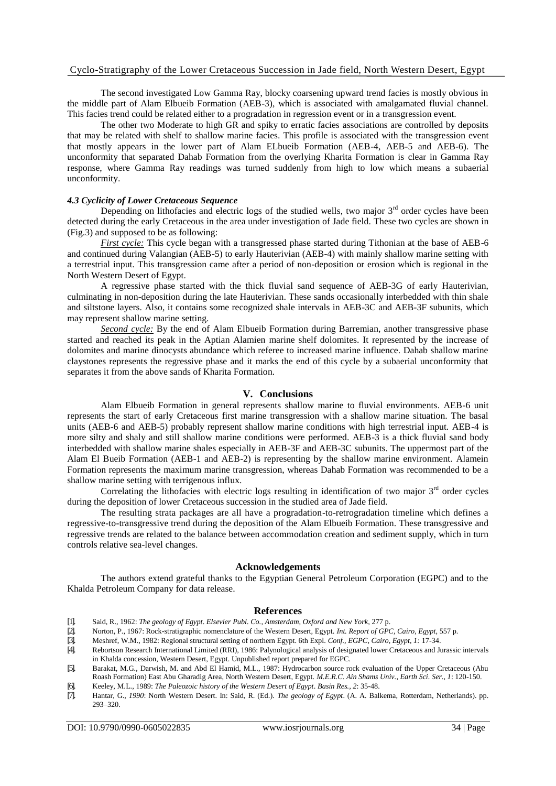The second investigated Low Gamma Ray, blocky coarsening upward trend facies is mostly obvious in the middle part of Alam Elbueib Formation (AEB-3), which is associated with amalgamated fluvial channel. This facies trend could be related either to a progradation in regression event or in a transgression event.

The other two Moderate to high GR and spiky to erratic facies associations are controlled by deposits that may be related with shelf to shallow marine facies. This profile is associated with the transgression event that mostly appears in the lower part of Alam ELbueib Formation (AEB-4, AEB-5 and AEB-6). The unconformity that separated Dahab Formation from the overlying Kharita Formation is clear in Gamma Ray response, where Gamma Ray readings was turned suddenly from high to low which means a subaerial unconformity.

#### *4.3 Cyclicity of Lower Cretaceous Sequence*

Depending on lithofacies and electric logs of the studied wells, two major  $3<sup>rd</sup>$  order cycles have been detected during the early Cretaceous in the area under investigation of Jade field. These two cycles are shown in (Fig.3) and supposed to be as following:

*First cycle:* This cycle began with a transgressed phase started during Tithonian at the base of AEB-6 and continued during Valangian (AEB-5) to early Hauterivian (AEB-4) with mainly shallow marine setting with a terrestrial input. This transgression came after a period of non-deposition or erosion which is regional in the North Western Desert of Egypt.

A regressive phase started with the thick fluvial sand sequence of AEB-3G of early Hauterivian, culminating in non-deposition during the late Hauterivian. These sands occasionally interbedded with thin shale and siltstone layers. Also, it contains some recognized shale intervals in AEB-3C and AEB-3F subunits, which may represent shallow marine setting.

*Second cycle:* By the end of Alam Elbueib Formation during Barremian, another transgressive phase started and reached its peak in the Aptian Alamien marine shelf dolomites. It represented by the increase of dolomites and marine dinocysts abundance which referee to increased marine influence. Dahab shallow marine claystones represents the regressive phase and it marks the end of this cycle by a subaerial unconformity that separates it from the above sands of Kharita Formation.

#### **V. Conclusions**

Alam Elbueib Formation in general represents shallow marine to fluvial environments. AEB-6 unit represents the start of early Cretaceous first marine transgression with a shallow marine situation. The basal units (AEB-6 and AEB-5) probably represent shallow marine conditions with high terrestrial input. AEB-4 is more silty and shaly and still shallow marine conditions were performed. AEB-3 is a thick fluvial sand body interbedded with shallow marine shales especially in AEB-3F and AEB-3C subunits. The uppermost part of the Alam El Bueib Formation (AEB-1 and AEB-2) is representing by the shallow marine environment. Alamein Formation represents the maximum marine transgression, whereas Dahab Formation was recommended to be a shallow marine setting with terrigenous influx.

Correlating the lithofacies with electric logs resulting in identification of two major  $3<sup>rd</sup>$  order cycles during the deposition of lower Cretaceous succession in the studied area of Jade field.

The resulting strata packages are all have a progradation-to-retrogradation timeline which defines a regressive-to-transgressive trend during the deposition of the Alam Elbueib Formation. These transgressive and regressive trends are related to the balance between accommodation creation and sediment supply, which in turn controls relative sea-level changes.

#### **Acknowledgements**

The authors extend grateful thanks to the Egyptian General Petroleum Corporation (EGPC) and to the Khalda Petroleum Company for data release.

#### **References**

- [1]. Said, R., 1962: *The geology of Egypt*. *Elsevier Publ. Co., Amsterdam, Oxford and New York,* 277 p.
- [2]. Norton, P., 1967: Rock-stratigraphic nomenclature of the Western Desert, Egypt. *Int. Report of GPC, Cairo, Egypt,* 557 p.
- [3]. Meshref, W.M., 1982: Regional structural setting of northern Egypt. 6th Expl. *Conf., EGPC, Cairo, Egypt, 1:* 17-34.
- [4]. Rebortson Research International Limited (RRI), 1986: Palynological analysis of designated lower Cretaceous and Jurassic intervals in Khalda concession, Western Desert, Egypt. Unpublished report prepared for EGPC.
- [5]. Barakat, M.G., Darwish, M. and Abd El Hamid, M.L., 1987: Hydrocarbon source rock evaluation of the Upper Cretaceous (Abu Roash Formation) East Abu Gharadig Area, North Western Desert, Egypt. *M.E.R.C. Ain Shams Univ., Earth Sci. Ser., 1*: 120-150.
- [6]. Keeley, M.L., 1989: *The Paleozoic history of the Western Desert of Egypt*. *Basin Res., 2*: 35-48.
- [7]. Hantar, G., *1990*: North Western Desert. In: Said, R. (Ed.). *The geology of Egypt*. (A. A. Balkema, Rotterdam, Netherlands). pp. 293–320.